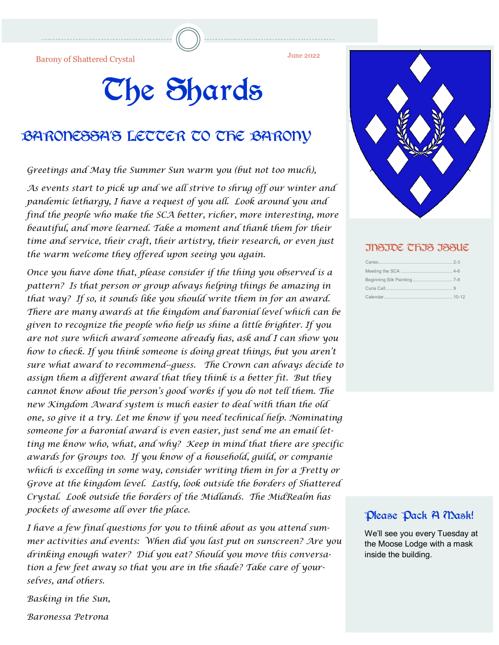June 2022 Barony of Shattered Crystal

## The Shards

#### BARONESSA'S LETTER TO THE BARONY

*Greetings and May the Summer Sun warm you (but not too much),*

*As events start to pick up and we all strive to shrug off our winter and pandemic lethargy, I have a request of you all. Look around you and find the people who make the SCA better, richer, more interesting, more beautiful, and more learned. Take a moment and thank them for their time and service, their craft, their artistry, their research, or even just the warm welcome they offered upon seeing you again.* 

*Once you have done that, please consider if the thing you observed is a pattern? Is that person or group always helping things be amazing in that way? If so, it sounds like you should write them in for an award. There are many awards at the kingdom and baronial level which can be given to recognize the people who help us shine a little brighter. If you are not sure which award someone already has, ask and I can show you how to check. If you think someone is doing great things, but you aren't sure what award to recommend--guess. The Crown can always decide to assign them a different award that they think is a better fit. But they cannot know about the person's good works if you do not tell them. The new Kingdom Award system is much easier to deal with than the old one, so give it a try. Let me know if you need technical help. Nominating someone for a baronial award is even easier, just send me an email letting me know who, what, and why? Keep in mind that there are specific awards for Groups too. If you know of a household, guild, or companie which is excelling in some way, consider writing them in for a Fretty or Grove at the kingdom level. Lastly, look outside the borders of Shattered Crystal. Look outside the borders of the Midlands. The MidRealm has pockets of awesome all over the place.* 

*I have a few final questions for you to think about as you attend summer activities and events: When did you last put on sunscreen? Are you drinking enough water? Did you eat? Should you move this conversation a few feet away so that you are in the shade? Take care of yourselves, and others.*

*Basking in the Sun,* 

*Baronessa Petrona*



#### INSIDE THIS ISSUE

#### Please Pack A Mask!

We'll see you every Tuesday at the Moose Lodge with a mask inside the building.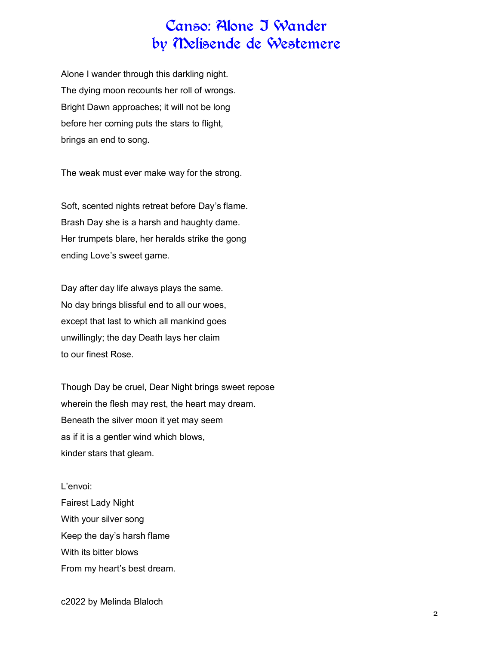#### Canso: Alone I Wander by Melisende de Westemere

Alone I wander through this darkling night. The dying moon recounts her roll of wrongs. Bright Dawn approaches; it will not be long before her coming puts the stars to flight, brings an end to song.

The weak must ever make way for the strong.

Soft, scented nights retreat before Day's flame. Brash Day she is a harsh and haughty dame. Her trumpets blare, her heralds strike the gong ending Love's sweet game.

Day after day life always plays the same. No day brings blissful end to all our woes, except that last to which all mankind goes unwillingly; the day Death lays her claim to our finest Rose.

Though Day be cruel, Dear Night brings sweet repose wherein the flesh may rest, the heart may dream. Beneath the silver moon it yet may seem as if it is a gentler wind which blows, kinder stars that gleam.

L'envoi: Fairest Lady Night With your silver song Keep the day's harsh flame With its bitter blows From my heart's best dream.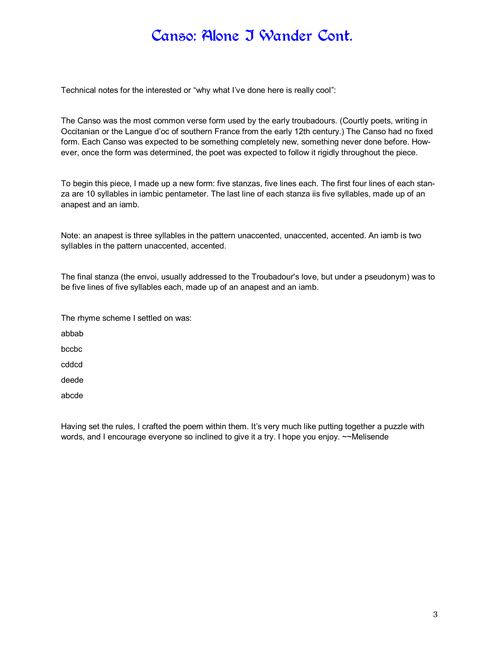#### Canso: Alone I Wander Cont.

Technical notes for the interested or "why what I've done here is really cool":

The Canso was the most common verse form used by the early troubadours. (Courtly poets, writing in Occitanian or the Langue d'oc of southern France from the early 12th century.) The Canso had no fixed form. Each Canso was expected to be something completely new, something never done before. However, once the form was determined, the poet was expected to follow it rigidly throughout the piece.

To begin this piece, I made up a new form: five stanzas, five lines each. The first four lines of each stanza are 10 syllables in iambic pentameter. The last line of each stanza iis five syllables, made up of an anapest and an iamb.

Note: an anapest is three syllables in the pattern unaccented, unaccented, accented. An iamb is two syllables in the pattern unaccented, accented.

The final stanza (the envoi, usually addressed to the Troubadour's love, but under a pseudonym) was to be five lines of five syllables each, made up of an anapest and an iamb.

| The rhyme scheme I settled on was: |
|------------------------------------|
| abbab                              |
| bccbc                              |
| cddcd                              |
| deede                              |
| abcde                              |

Having set the rules, I crafted the poem within them. It's very much like putting together a puzzle with words, and I encourage everyone so inclined to give it a try. I hope you enjoy. ~~Melisende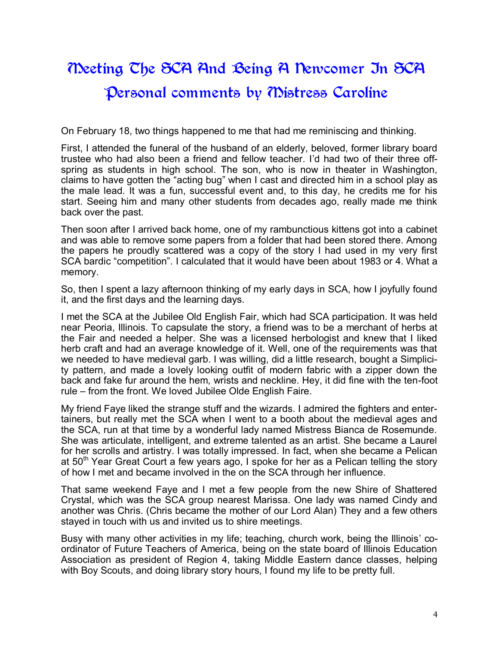### Meeting The SCA And Being A Newcomer In SCA Personal comments by Mistress Caroline

On February 18, two things happened to me that had me reminiscing and thinking.

First, I attended the funeral of the husband of an elderly, beloved, former library board trustee who had also been a friend and fellow teacher. I'd had two of their three offspring as students in high school. The son, who is now in theater in Washington, claims to have gotten the "acting bug" when I cast and directed him in a school play as the male lead. It was a fun, successful event and, to this day, he credits me for his start. Seeing him and many other students from decades ago, really made me think back over the past.

Then soon after I arrived back home, one of my rambunctious kittens got into a cabinet and was able to remove some papers from a folder that had been stored there. Among the papers he proudly scattered was a copy of the story I had used in my very first SCA bardic "competition". I calculated that it would have been about 1983 or 4. What a memory.

So, then I spent a lazy afternoon thinking of my early days in SCA, how I joyfully found it, and the first days and the learning days.

I met the SCA at the Jubilee Old English Fair, which had SCA participation. It was held near Peoria, Illinois. To capsulate the story, a friend was to be a merchant of herbs at the Fair and needed a helper. She was a licensed herbologist and knew that I liked herb craft and had an average knowledge of it. Well, one of the requirements was that we needed to have medieval garb. I was willing, did a little research, bought a Simplicity pattern, and made a lovely looking outfit of modern fabric with a zipper down the back and fake fur around the hem, wrists and neckline. Hey, it did fine with the ten-foot rule – from the front. We loved Jubilee Olde English Faire.

My friend Faye liked the strange stuff and the wizards. I admired the fighters and entertainers, but really met the SCA when I went to a booth about the medieval ages and the SCA, run at that time by a wonderful lady named Mistress Bianca de Rosemunde. She was articulate, intelligent, and extreme talented as an artist. She became a Laurel for her scrolls and artistry. I was totally impressed. In fact, when she became a Pelican at  $50<sup>th</sup>$  Year Great Court a few years ago, I spoke for her as a Pelican telling the story of how I met and became involved in the on the SCA through her influence.

That same weekend Faye and I met a few people from the new Shire of Shattered Crystal, which was the SCA group nearest Marissa. One lady was named Cindy and another was Chris. (Chris became the mother of our Lord Alan) They and a few others stayed in touch with us and invited us to shire meetings.

Busy with many other activities in my life; teaching, church work, being the Illinois' coordinator of Future Teachers of America, being on the state board of Illinois Education Association as president of Region 4, taking Middle Eastern dance classes, helping with Boy Scouts, and doing library story hours, I found my life to be pretty full.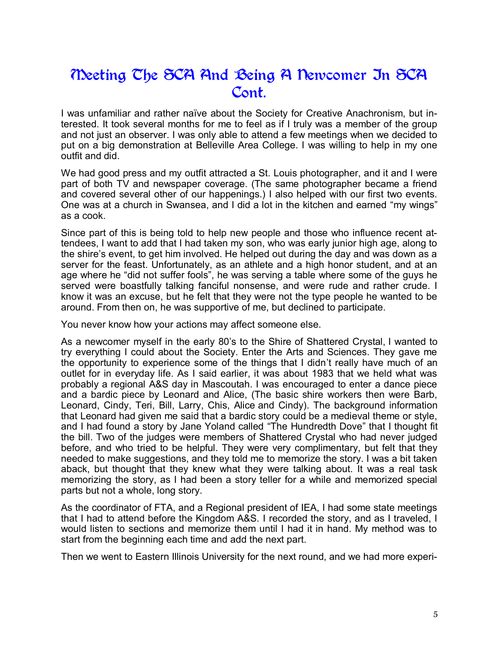#### Meeting The SCA And Being A Newcomer In SCA Cont.

I was unfamiliar and rather naïve about the Society for Creative Anachronism, but interested. It took several months for me to feel as if I truly was a member of the group and not just an observer. I was only able to attend a few meetings when we decided to put on a big demonstration at Belleville Area College. I was willing to help in my one outfit and did.

We had good press and my outfit attracted a St. Louis photographer, and it and I were part of both TV and newspaper coverage. (The same photographer became a friend and covered several other of our happenings.) I also helped with our first two events. One was at a church in Swansea, and I did a lot in the kitchen and earned "my wings" as a cook.

Since part of this is being told to help new people and those who influence recent attendees, I want to add that I had taken my son, who was early junior high age, along to the shire's event, to get him involved. He helped out during the day and was down as a server for the feast. Unfortunately, as an athlete and a high honor student, and at an age where he "did not suffer fools", he was serving a table where some of the guys he served were boastfully talking fanciful nonsense, and were rude and rather crude. I know it was an excuse, but he felt that they were not the type people he wanted to be around. From then on, he was supportive of me, but declined to participate.

You never know how your actions may affect someone else.

As a newcomer myself in the early 80's to the Shire of Shattered Crystal, I wanted to try everything I could about the Society. Enter the Arts and Sciences. They gave me the opportunity to experience some of the things that I didn't really have much of an outlet for in everyday life. As I said earlier, it was about 1983 that we held what was probably a regional A&S day in Mascoutah. I was encouraged to enter a dance piece and a bardic piece by Leonard and Alice, (The basic shire workers then were Barb, Leonard, Cindy, Teri, Bill, Larry, Chis, Alice and Cindy). The background information that Leonard had given me said that a bardic story could be a medieval theme or style, and I had found a story by Jane Yoland called "The Hundredth Dove" that I thought fit the bill. Two of the judges were members of Shattered Crystal who had never judged before, and who tried to be helpful. They were very complimentary, but felt that they needed to make suggestions, and they told me to memorize the story. I was a bit taken aback, but thought that they knew what they were talking about. It was a real task memorizing the story, as I had been a story teller for a while and memorized special parts but not a whole, long story.

As the coordinator of FTA, and a Regional president of IEA, I had some state meetings that I had to attend before the Kingdom A&S. I recorded the story, and as I traveled, I would listen to sections and memorize them until I had it in hand. My method was to start from the beginning each time and add the next part.

Then we went to Eastern Illinois University for the next round, and we had more experi-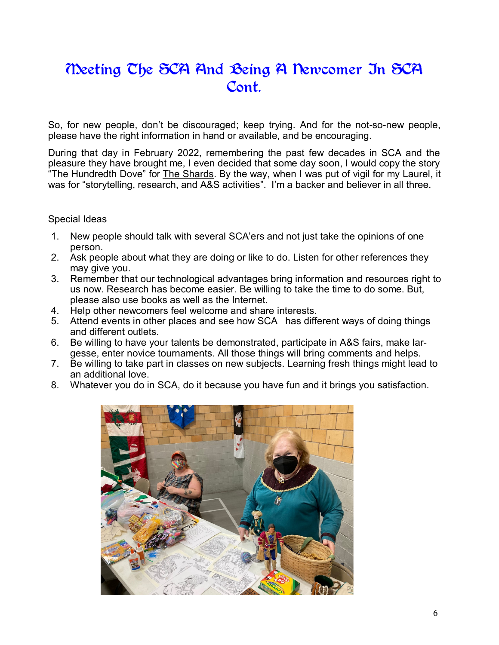#### Meeting The SCA And Being A Newcomer In SCA Cont.

So, for new people, don't be discouraged; keep trying. And for the not-so-new people, please have the right information in hand or available, and be encouraging.

During that day in February 2022, remembering the past few decades in SCA and the pleasure they have brought me, I even decided that some day soon, I would copy the story "The Hundredth Dove" for The Shards. By the way, when I was put of vigil for my Laurel, it was for "storytelling, research, and A&S activities". I'm a backer and believer in all three.

#### Special Ideas

- 1. New people should talk with several SCA'ers and not just take the opinions of one person.
- 2. Ask people about what they are doing or like to do. Listen for other references they may give you.
- 3. Remember that our technological advantages bring information and resources right to us now. Research has become easier. Be willing to take the time to do some. But, please also use books as well as the Internet.
- 4. Help other newcomers feel welcome and share interests.
- 5. Attend events in other places and see how SCA has different ways of doing things and different outlets.
- 6. Be willing to have your talents be demonstrated, participate in A&S fairs, make largesse, enter novice tournaments. All those things will bring comments and helps.
- 7. Be willing to take part in classes on new subjects. Learning fresh things might lead to an additional love.
- 8. Whatever you do in SCA, do it because you have fun and it brings you satisfaction.

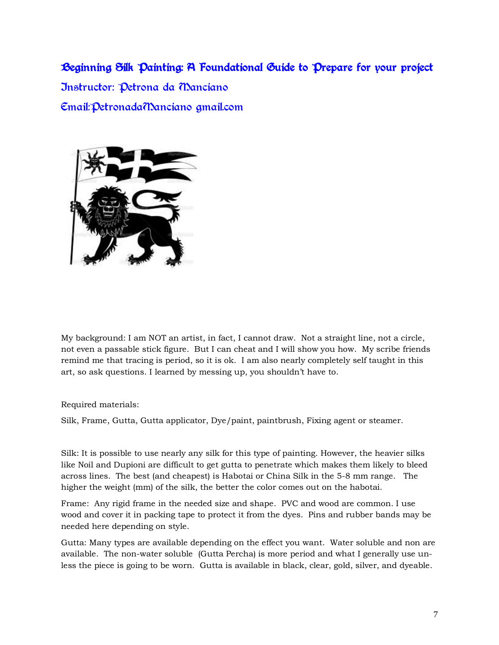#### Beginning Silk Painting: A Foundational Guide to Prepare for your project

Instructor: Petrona da Manciano Email:PetronadaManciano@gmail.com



My background: I am NOT an artist, in fact, I cannot draw. Not a straight line, not a circle, not even a passable stick figure. But I can cheat and I will show you how. My scribe friends remind me that tracing is period, so it is ok. I am also nearly completely self taught in this art, so ask questions. I learned by messing up, you shouldn't have to.

Required materials:

Silk, Frame, Gutta, Gutta applicator, Dye/paint, paintbrush, Fixing agent or steamer.

Silk: It is possible to use nearly any silk for this type of painting. However, the heavier silks like Noil and Dupioni are difficult to get gutta to penetrate which makes them likely to bleed across lines. The best (and cheapest) is Habotai or China Silk in the 5-8 mm range. The higher the weight (mm) of the silk, the better the color comes out on the habotai.

Frame: Any rigid frame in the needed size and shape. PVC and wood are common. I use wood and cover it in packing tape to protect it from the dyes. Pins and rubber bands may be needed here depending on style.

Gutta: Many types are available depending on the effect you want. Water soluble and non are available. The non-water soluble (Gutta Percha) is more period and what I generally use unless the piece is going to be worn. Gutta is available in black, clear, gold, silver, and dyeable.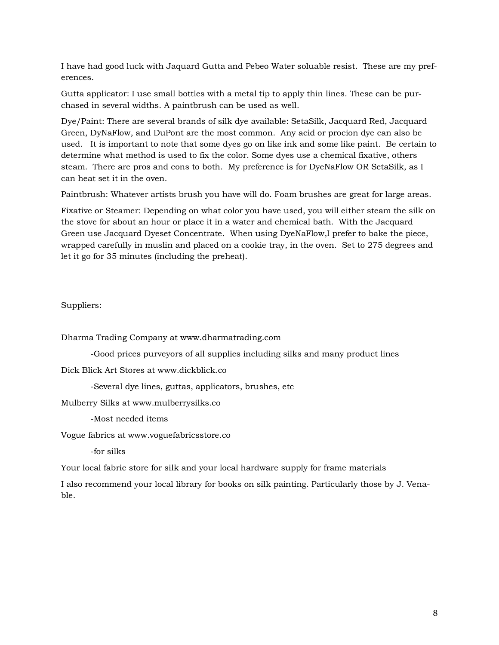I have had good luck with Jaquard Gutta and Pebeo Water soluable resist. These are my preferences.

Gutta applicator: I use small bottles with a metal tip to apply thin lines. These can be purchased in several widths. A paintbrush can be used as well.

Dye/Paint: There are several brands of silk dye available: SetaSilk, Jacquard Red, Jacquard Green, DyNaFlow, and DuPont are the most common. Any acid or procion dye can also be used. It is important to note that some dyes go on like ink and some like paint. Be certain to determine what method is used to fix the color. Some dyes use a chemical fixative, others steam. There are pros and cons to both. My preference is for DyeNaFlow OR SetaSilk, as I can heat set it in the oven.

Paintbrush: Whatever artists brush you have will do. Foam brushes are great for large areas.

Fixative or Steamer: Depending on what color you have used, you will either steam the silk on the stove for about an hour or place it in a water and chemical bath. With the Jacquard Green use Jacquard Dyeset Concentrate. When using DyeNaFlow,I prefer to bake the piece, wrapped carefully in muslin and placed on a cookie tray, in the oven. Set to 275 degrees and let it go for 35 minutes (including the preheat).

Suppliers:

Dharma Trading Company at www.dharmatrading.com

-Good prices purveyors of all supplies including silks and many product lines

Dick Blick Art Stores at www.dickblick.co

-Several dye lines, guttas, applicators, brushes, etc

Mulberry Silks at www.mulberrysilks.co

-Most needed items

Vogue fabrics at www.voguefabricsstore.co

-for silks

Your local fabric store for silk and your local hardware supply for frame materials

I also recommend your local library for books on silk painting. Particularly those by J. Venable.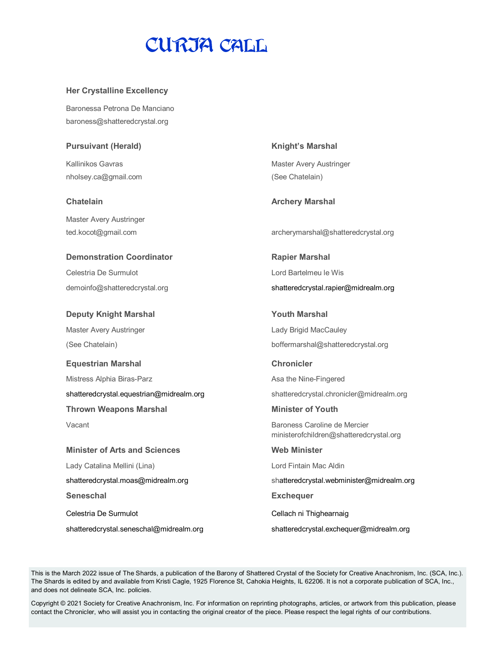## CURIA CALL

#### **Her Crystalline Excellency**

Baronessa Petrona De Manciano baroness@shatteredcrystal.org

#### **Pursuivant (Herald) Knight's Marshal**

nholsey.ca@gmail.com (See Chatelain)

Master Avery Austringer

#### **Demonstration Coordinator Rapier Marshal**

Celestria De Surmulot Lord Bartelmeu le Wis

Master Avery Austringer **Lady Brigid MacCauley** 

**Equestrian Marshal Chronicler**  Mistress Alphia Biras-Parz **Asa the Nine-Fingered** Asa the Nine-Fingered shatteredcrystal.equestrian@midrealm.org shatteredcrystal.chronicler@midrealm.org **Thrown Weapons Marshal Minister of Youth**

**Minister of Arts and Sciences Web Minister** Lady Catalina Mellini (Lina) and a compare control control control control control control control control control control control control control control control control control control control control control control con **Seneschal Exchequer**  Celestria De Surmulot Cellach ni Thighearnaig

shatteredcrystal.seneschal@midrealm.org shatteredcrystal.exchequer@midrealm.org

Kallinikos Gavras **Master Avery Austringer** Master Avery Austringer

**Chatelain Archery Marshal** 

ted.kocot@gmail.com archerymarshal@shatteredcrystal.org

demoinfo@shatteredcrystal.org shatteredcrystal.rapier@midrealm.org

**Deputy Knight Marshal National Communist Communist Communist Communist Communist Communist Communist Communist Communist Communist Communist Communist Communist Communist Communist Communist Communist Communist Communist** (See Chatelain) boffermarshal@shatteredcrystal.org

Vacant **Baroness Caroline de Mercier Baroness Caroline de Mercier** ministerofchildren@shatteredcrystal.org

shatteredcrystal.moas@midrealm.org shatteredcrystal.webminister@midrealm.org

This is the March 2022 issue of The Shards, a publication of the Barony of Shattered Crystal of the Society for Creative Anachronism, Inc. (SCA, Inc.). The Shards is edited by and available from Kristi Cagle, 1925 Florence St, Cahokia Heights, IL 62206. It is not a corporate publication of SCA, Inc., and does not delineate SCA, Inc. policies.

Copyright © 2021 Society for Creative Anachronism, Inc. For information on reprinting photographs, articles, or artwork from this publication, please contact the Chronicler, who will assist you in contacting the original creator of the piece. Please respect the legal rights of our contributions.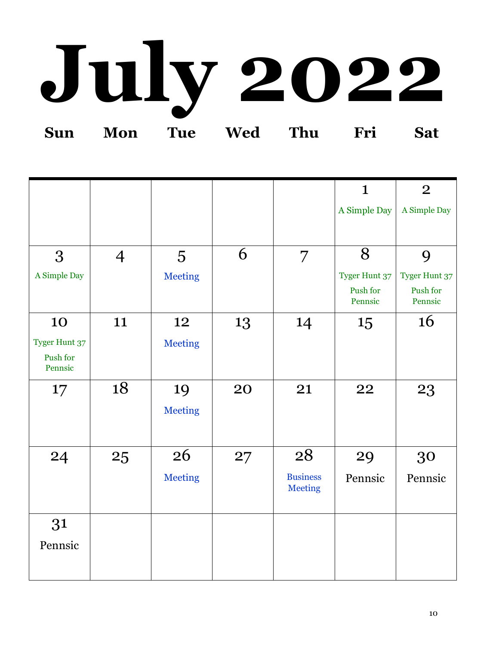## **July 2022 Sun Mon Tue Wed Thu Fri Sat**

|                     |                |                 |    |                                   | $\mathbf{1}$         | $\overline{2}$      |
|---------------------|----------------|-----------------|----|-----------------------------------|----------------------|---------------------|
|                     |                |                 |    |                                   | A Simple Day         | A Simple Day        |
|                     |                |                 |    |                                   |                      |                     |
| 3                   | $\overline{4}$ | $5\overline{)}$ | 6  | $\overline{7}$                    | 8                    | 9                   |
| A Simple Day        |                | <b>Meeting</b>  |    |                                   | <b>Tyger Hunt 37</b> | Tyger Hunt 37       |
|                     |                |                 |    |                                   | Push for<br>Pennsic  | Push for<br>Pennsic |
| 10                  | 11             | 12              | 13 | 14                                | 15                   | 16                  |
| Tyger Hunt 37       |                | <b>Meeting</b>  |    |                                   |                      |                     |
| Push for<br>Pennsic |                |                 |    |                                   |                      |                     |
| $17 \,$             | 18             | 19              | 20 | 21                                | 22                   | 23                  |
|                     |                | <b>Meeting</b>  |    |                                   |                      |                     |
|                     |                |                 |    |                                   |                      |                     |
| 24                  | 25             | 26              | 27 | 28                                | 29                   | 30                  |
|                     |                | <b>Meeting</b>  |    | <b>Business</b><br><b>Meeting</b> | Pennsic              | Pennsic             |
| 31                  |                |                 |    |                                   |                      |                     |
| Pennsic             |                |                 |    |                                   |                      |                     |
|                     |                |                 |    |                                   |                      |                     |
|                     |                |                 |    |                                   |                      |                     |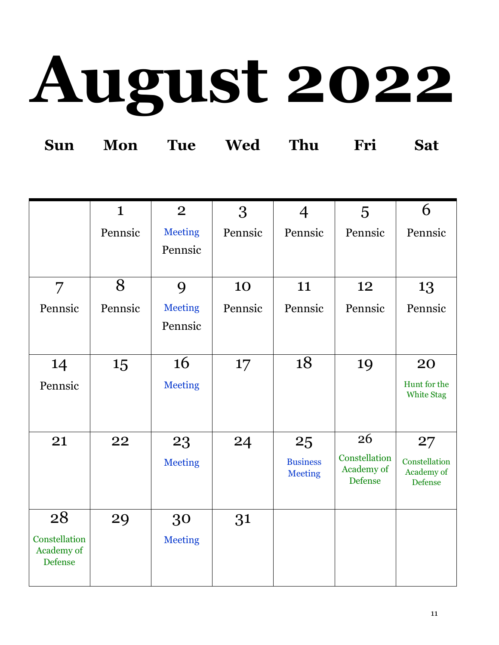# **August 2022**

|  | Sun Mon Tue Wed Thu Fri Sat |  |  |
|--|-----------------------------|--|--|
|  |                             |  |  |

|                             | $\mathbf{1}$ | $\overline{2}$ | 3       | $\overline{4}$  | 5                            | 6                            |
|-----------------------------|--------------|----------------|---------|-----------------|------------------------------|------------------------------|
|                             | Pennsic      | <b>Meeting</b> | Pennsic | Pennsic         | Pennsic                      | Pennsic                      |
|                             |              | Pennsic        |         |                 |                              |                              |
|                             |              |                |         |                 |                              |                              |
| $\overline{7}$              | 8            | 9              | 10      | 11              | 12                           | 13                           |
| Pennsic                     | Pennsic      | <b>Meeting</b> | Pennsic | Pennsic         | Pennsic                      | Pennsic                      |
|                             |              | Pennsic        |         |                 |                              |                              |
|                             |              |                |         |                 |                              |                              |
| 14                          | 15           | 16             | 17      | 18              | 19                           | 20                           |
| Pennsic                     |              | <b>Meeting</b> |         |                 |                              | Hunt for the                 |
|                             |              |                |         |                 |                              | <b>White Stag</b>            |
|                             |              |                |         |                 |                              |                              |
| 21                          | 22           | 23             | 24      | 25              | 26                           | 27                           |
|                             |              | <b>Meeting</b> |         | <b>Business</b> | Constellation                | Constellation                |
|                             |              |                |         | <b>Meeting</b>  | Academy of<br><b>Defense</b> | Academy of<br><b>Defense</b> |
|                             |              |                |         |                 |                              |                              |
| 28                          | 29           | 30             | 31      |                 |                              |                              |
| Constellation<br>Academy of |              | <b>Meeting</b> |         |                 |                              |                              |
| <b>Defense</b>              |              |                |         |                 |                              |                              |
|                             |              |                |         |                 |                              |                              |